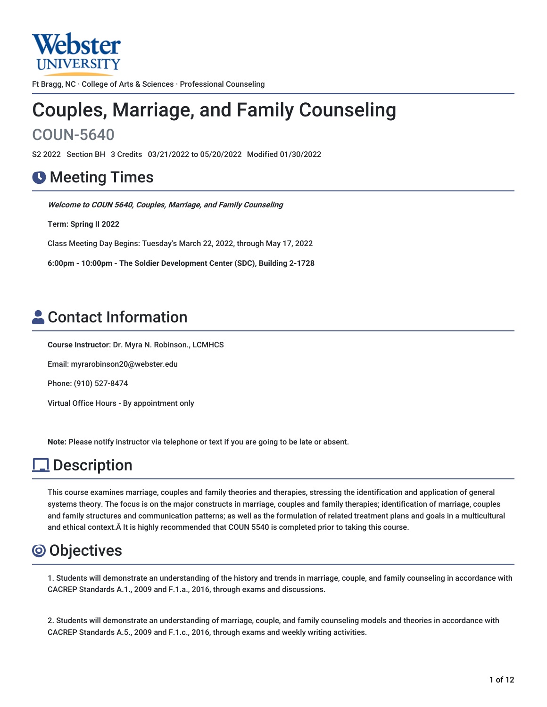

Ft Bragg, NC · College of Arts & Sciences · Professional Counseling

# Couples, Marriage, and Family Counseling COUN-5640

S2 2022 Section BH 3 Credits 03/21/2022 to 05/20/2022 Modified 01/30/2022

## **O** Meeting Times

**Welcome to COUN 5640, Couples, Marriage, and Family Counseling**

**Term: Spring II 2022**

Class Meeting Day Begins: Tuesday's March 22, 2022, through May 17, 2022

**6:00pm - 10:00pm - The Soldier Development Center (SDC), Building 2-1728**

# Contact Information

**Course Instructor**: Dr. Myra N. Robinson., LCMHCS

Email: myrarobinson20@webster.edu

Phone: (910) 527-8474

Virtual Office Hours - By appointment only

**Note:** Please notify instructor via telephone or text if you are going to be late or absent.

# **l** Description

This course examines marriage, couples and family theories and therapies, stressing the identification and application of general systems theory. The focus is on the major constructs in marriage, couples and family therapies; identification of marriage, couples and family structures and communication patterns; as well as the formulation of related treatment plans and goals in a multicultural and ethical context.Â It is highly recommended that COUN 5540 is completed prior to taking this course.

## Objectives

1. Students will demonstrate an understanding of the history and trends in marriage, couple, and family counseling in accordance with CACREP Standards A.1., 2009 and F.1.a., 2016, through exams and discussions.

2. Students will demonstrate an understanding of marriage, couple, and family counseling models and theories in accordance with CACREP Standards A.5., 2009 and F.1.c., 2016, through exams and weekly writing activities.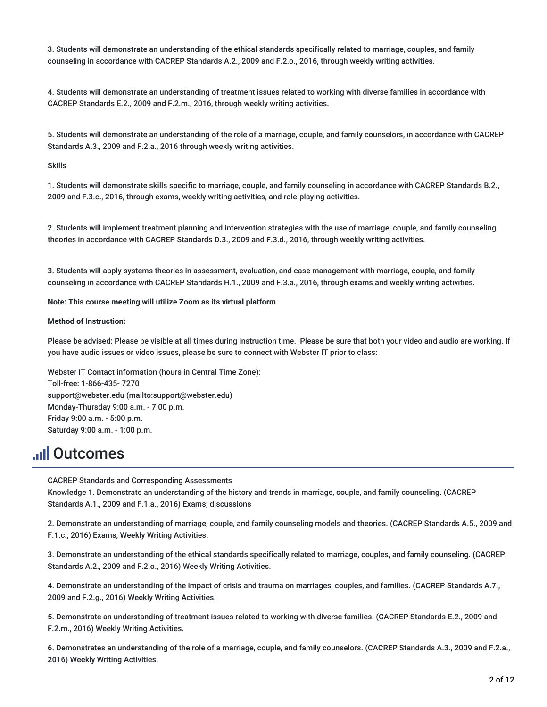3. Students will demonstrate an understanding of the ethical standards specifically related to marriage, couples, and family counseling in accordance with CACREP Standards A.2., 2009 and F.2.o., 2016, through weekly writing activities.

4. Students will demonstrate an understanding of treatment issues related to working with diverse families in accordance with CACREP Standards E.2., 2009 and F.2.m., 2016, through weekly writing activities.

5. Students will demonstrate an understanding of the role of a marriage, couple, and family counselors, in accordance with CACREP Standards A.3., 2009 and F.2.a., 2016 through weekly writing activities.

Skills

1. Students will demonstrate skills specific to marriage, couple, and family counseling in accordance with CACREP Standards B.2., 2009 and F.3.c., 2016, through exams, weekly writing activities, and role-playing activities.

2. Students will implement treatment planning and intervention strategies with the use of marriage, couple, and family counseling theories in accordance with CACREP Standards D.3., 2009 and F.3.d., 2016, through weekly writing activities.

3. Students will apply systems theories in assessment, evaluation, and case management with marriage, couple, and family counseling in accordance with CACREP Standards H.1., 2009 and F.3.a., 2016, through exams and weekly writing activities.

**Note: This course meeting will utilize Zoom as its virtual platform**

#### **Method of Instruction:**

Please be advised: Please be visible at all times during instruction time. Please be sure that both your video and audio are working. If you have audio issues or video issues, please be sure to connect with Webster IT prior to class:

Webster IT Contact information (hours in Central Time Zone): Toll-free: 1-866-435- 7270 support@webster.edu (mailto:support@webster.edu) Monday-Thursday 9:00 a.m. - 7:00 p.m. Friday 9:00 a.m. - 5:00 p.m. Saturday 9:00 a.m. - 1:00 p.m.

## **Juli Outcomes**

CACREP Standards and Corresponding Assessments

Knowledge 1. Demonstrate an understanding of the history and trends in marriage, couple, and family counseling. (CACREP Standards A.1., 2009 and F.1.a., 2016) Exams; discussions

2. Demonstrate an understanding of marriage, couple, and family counseling models and theories. (CACREP Standards A.5., 2009 and F.1.c., 2016) Exams; Weekly Writing Activities.

3. Demonstrate an understanding of the ethical standards specifically related to marriage, couples, and family counseling. (CACREP Standards A.2., 2009 and F.2.o., 2016) Weekly Writing Activities.

4. Demonstrate an understanding of the impact of crisis and trauma on marriages, couples, and families. (CACREP Standards A.7., 2009 and F.2.g., 2016) Weekly Writing Activities.

5. Demonstrate an understanding of treatment issues related to working with diverse families. (CACREP Standards E.2., 2009 and F.2.m., 2016) Weekly Writing Activities.

6. Demonstrates an understanding of the role of a marriage, couple, and family counselors. (CACREP Standards A.3., 2009 and F.2.a., 2016) Weekly Writing Activities.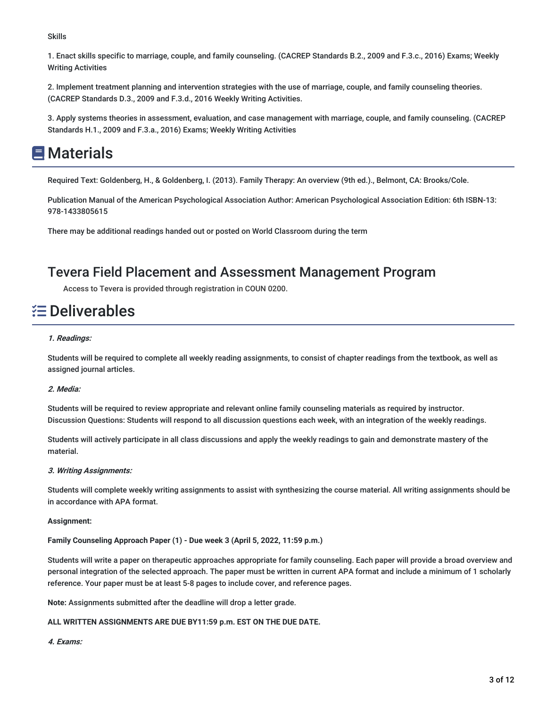Skills

1. Enact skills specific to marriage, couple, and family counseling. (CACREP Standards B.2., 2009 and F.3.c., 2016) Exams; Weekly Writing Activities

2. Implement treatment planning and intervention strategies with the use of marriage, couple, and family counseling theories. (CACREP Standards D.3., 2009 and F.3.d., 2016 Weekly Writing Activities.

3. Apply systems theories in assessment, evaluation, and case management with marriage, couple, and family counseling. (CACREP Standards H.1., 2009 and F.3.a., 2016) Exams; Weekly Writing Activities

# **国**Materials

Required Text: Goldenberg, H., & Goldenberg, I. (2013). Family Therapy: An overview (9th ed.)., Belmont, CA: Brooks/Cole.

Publication Manual of the American Psychological Association Author: American Psychological Association Edition: 6th ISBN-13: 978-1433805615

There may be additional readings handed out or posted on World Classroom during the term

### Tevera Field Placement and Assessment Management Program

Access to Tevera is provided through registration in COUN 0200.

## Deliverables

#### **1. Readings:**

Students will be required to complete all weekly reading assignments, to consist of chapter readings from the textbook, as well as assigned journal articles.

#### **2. Media:**

Students will be required to review appropriate and relevant online family counseling materials as required by instructor. Discussion Questions: Students will respond to all discussion questions each week, with an integration of the weekly readings.

Students will actively participate in all class discussions and apply the weekly readings to gain and demonstrate mastery of the material.

#### **3. Writing Assignments:**

Students will complete weekly writing assignments to assist with synthesizing the course material. All writing assignments should be in accordance with APA format.

#### **Assignment:**

**Family Counseling Approach Paper (1) - Due week 3 (April 5, 2022, 11:59 p.m.)**

Students will write a paper on therapeutic approaches appropriate for family counseling. Each paper will provide a broad overview and personal integration of the selected approach. The paper must be written in current APA format and include a minimum of 1 scholarly reference. Your paper must be at least 5-8 pages to include cover, and reference pages.

**Note:** Assignments submitted after the deadline will drop a letter grade.

#### **ALL WRITTEN ASSIGNMENTS ARE DUE BY11:59 p.m. EST ON THE DUE DATE.**

#### **4. Exams:**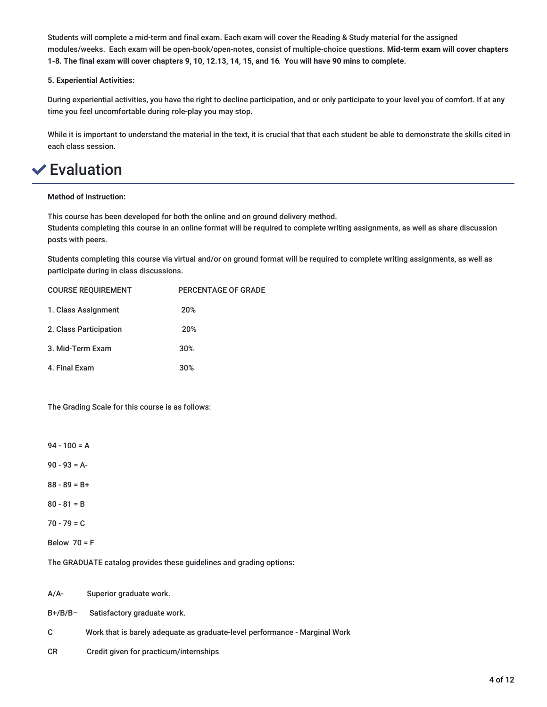Students will complete a mid-term and final exam. Each exam will cover the Reading & Study material for the assigned modules/weeks. Each exam will be open-book/open-notes, consist of multiple-choice questions. **Mid-term exam will cover chapters** 1-8. The final exam will cover chapters 9, 10, 12.13, 14, 15, and 16. You will have 90 mins to complete.

#### **5. Experiential Activities:**

During experiential activities, you have the right to decline participation, and or only participate to your level you of comfort. If at any time you feel uncomfortable during role-play you may stop.

While it is important to understand the material in the text, it is crucial that that each student be able to demonstrate the skills cited in each class session.

## Evaluation

#### **Method of Instruction:**

This course has been developed for both the online and on ground delivery method.

Students completing this course in an online format will be required to complete writing assignments, as well as share discussion posts with peers.

Students completing this course via virtual and/or on ground format will be required to complete writing assignments, as well as participate during in class discussions.

| <b>COURSE REQUIREMENT</b> | <b>PERCENTAGE OF GRADE</b> |
|---------------------------|----------------------------|
| 1. Class Assignment       | 20%                        |
| 2. Class Participation    | 20%                        |
| 3. Mid-Term Exam          | 30%                        |
| 4. Final Exam             | 30%                        |

The Grading Scale for this course is as follows:

- $94 100 = A$
- 90 93 = A-
- 88 89 = B+
- $80 81 = B$
- $70 79 = C$
- Below  $70 = F$

The GRADUATE catalog provides these guidelines and grading options:

A/A- Superior graduate work.

B+/B/B– Satisfactory graduate work.

- C Work that is barely adequate as graduate-level performance Marginal Work
- CR Credit given for practicum/internships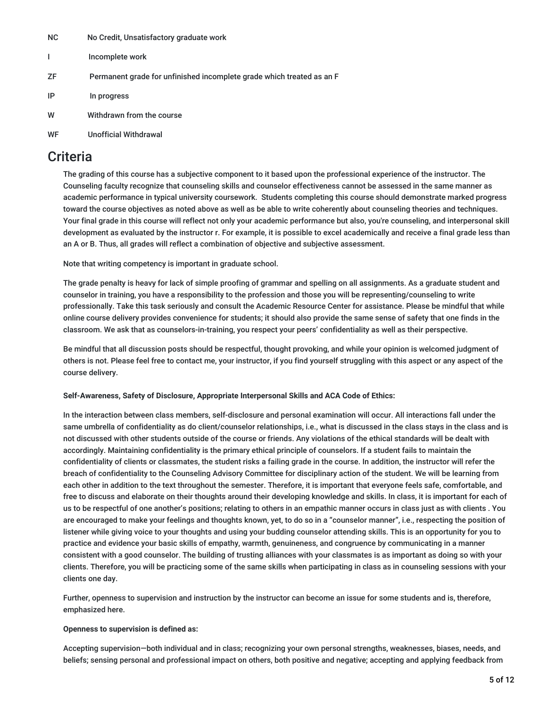- NC No Credit, Unsatisfactory graduate work
- I Incomplete work
- ZF Permanent grade for unfinished incomplete grade which treated as an F
- IP In progress
- W Withdrawn from the course

#### WF Unofficial Withdrawal

### **Criteria**

The grading of this course has a subjective component to it based upon the professional experience of the instructor. The Counseling faculty recognize that counseling skills and counselor effectiveness cannot be assessed in the same manner as academic performance in typical university coursework. Students completing this course should demonstrate marked progress toward the course objectives as noted above as well as be able to write coherently about counseling theories and techniques. Your final grade in this course will reflect not only your academic performance but also, you're counseling, and interpersonal skill development as evaluated by the instructor r. For example, it is possible to excel academically and receive a final grade less than an A or B. Thus, all grades will reflect a combination of objective and subjective assessment.

Note that writing competency is important in graduate school.

The grade penalty is heavy for lack of simple proofing of grammar and spelling on all assignments. As a graduate student and counselor in training, you have a responsibility to the profession and those you will be representing/counseling to write professionally. Take this task seriously and consult the Academic Resource Center for assistance. Please be mindful that while online course delivery provides convenience for students; it should also provide the same sense of safety that one finds in the classroom. We ask that as counselors-in-training, you respect your peers' confidentiality as well as their perspective.

Be mindful that all discussion posts should be respectful, thought provoking, and while your opinion is welcomed judgment of others is not. Please feel free to contact me, your instructor, if you find yourself struggling with this aspect or any aspect of the course delivery.

#### **Self-Awareness, Safety of Disclosure, Appropriate Interpersonal Skills and ACA Code of Ethics:**

In the interaction between class members, self-disclosure and personal examination will occur. All interactions fall under the same umbrella of confidentiality as do client/counselor relationships, i.e., what is discussed in the class stays in the class and is not discussed with other students outside of the course or friends. Any violations of the ethical standards will be dealt with accordingly. Maintaining confidentiality is the primary ethical principle of counselors. If a student fails to maintain the confidentiality of clients or classmates, the student risks a failing grade in the course. In addition, the instructor will refer the breach of confidentiality to the Counseling Advisory Committee for disciplinary action of the student. We will be learning from each other in addition to the text throughout the semester. Therefore, it is important that everyone feels safe, comfortable, and free to discuss and elaborate on their thoughts around their developing knowledge and skills. In class, it is important for each of us to be respectful of one another's positions; relating to others in an empathic manner occurs in class just as with clients . You are encouraged to make your feelings and thoughts known, yet, to do so in a "counselor manner", i.e., respecting the position of listener while giving voice to your thoughts and using your budding counselor attending skills. This is an opportunity for you to practice and evidence your basic skills of empathy, warmth, genuineness, and congruence by communicating in a manner consistent with a good counselor. The building of trusting alliances with your classmates is as important as doing so with your clients. Therefore, you will be practicing some of the same skills when participating in class as in counseling sessions with your clients one day.

Further, openness to supervision and instruction by the instructor can become an issue for some students and is, therefore, emphasized here.

#### **Openness to supervision is defined as:**

Accepting supervision—both individual and in class; recognizing your own personal strengths, weaknesses, biases, needs, and beliefs; sensing personal and professional impact on others, both positive and negative; accepting and applying feedback from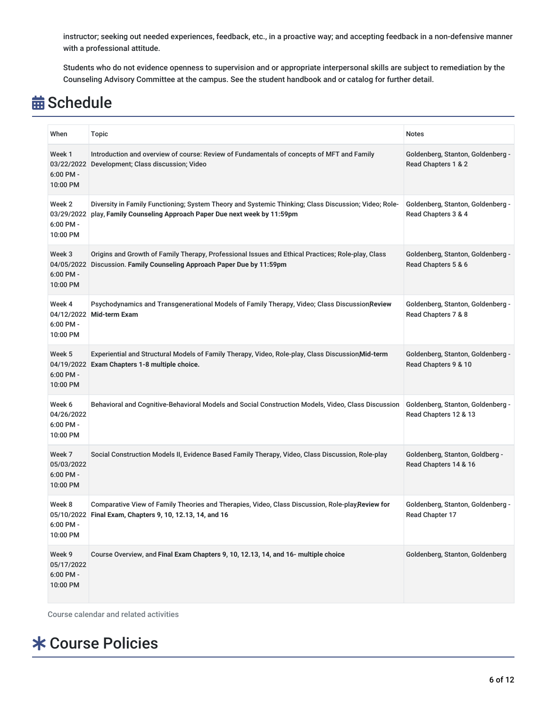instructor; seeking out needed experiences, feedback, etc., in a proactive way; and accepting feedback in a non-defensive manner with a professional attitude.

Students who do not evidence openness to supervision and or appropriate interpersonal skills are subject to remediation by the Counseling Advisory Committee at the campus. See the student handbook and or catalog for further detail.

# **苗 Schedule**

| When                                          | <b>Topic</b>                                                                                                                                                            | <b>Notes</b>                                               |
|-----------------------------------------------|-------------------------------------------------------------------------------------------------------------------------------------------------------------------------|------------------------------------------------------------|
| Week 1<br>03/22/2022<br>6:00 PM -<br>10:00 PM | Introduction and overview of course: Review of Fundamentals of concepts of MFT and Family<br>Development; Class discussion; Video                                       | Goldenberg, Stanton, Goldenberg -<br>Read Chapters 1 & 2   |
| Week 2<br>03/29/2022<br>6:00 PM -<br>10:00 PM | Diversity in Family Functioning; System Theory and Systemic Thinking; Class Discussion; Video; Role-<br>play, Family Counseling Approach Paper Due next week by 11:59pm | Goldenberg, Stanton, Goldenberg -<br>Read Chapters 3 & 4   |
| Week 3<br>04/05/2022<br>6:00 PM -<br>10:00 PM | Origins and Growth of Family Therapy, Professional Issues and Ethical Practices; Role-play, Class<br>Discussion. Family Counseling Approach Paper Due by 11:59pm        | Goldenberg, Stanton, Goldenberg -<br>Read Chapters 5 & 6   |
| Week 4<br>6:00 PM -<br>10:00 PM               | Psychodynamics and Transgenerational Models of Family Therapy, Video; Class DiscussionReview<br>04/12/2022 Mid-term Exam                                                | Goldenberg, Stanton, Goldenberg -<br>Read Chapters 7 & 8   |
| Week 5<br>6:00 PM -<br>10:00 PM               | Experiential and Structural Models of Family Therapy, Video, Role-play, Class Discussion Mid-term<br>04/19/2022 Exam Chapters 1-8 multiple choice.                      | Goldenberg, Stanton, Goldenberg -<br>Read Chapters 9 & 10  |
| Week 6<br>04/26/2022<br>6:00 PM -<br>10:00 PM | Behavioral and Cognitive-Behavioral Models and Social Construction Models, Video, Class Discussion                                                                      | Goldenberg, Stanton, Goldenberg -<br>Read Chapters 12 & 13 |
| Week 7<br>05/03/2022<br>6:00 PM -<br>10:00 PM | Social Construction Models II, Evidence Based Family Therapy, Video, Class Discussion, Role-play                                                                        | Goldenberg, Stanton, Goldberg -<br>Read Chapters 14 & 16   |
| Week 8<br>6:00 PM -<br>10:00 PM               | Comparative View of Family Theories and Therapies, Video, Class Discussion, Role-play, Review for<br>05/10/2022 Final Exam, Chapters 9, 10, 12.13, 14, and 16           | Goldenberg, Stanton, Goldenberg -<br>Read Chapter 17       |
| Week 9<br>05/17/2022<br>6:00 PM -<br>10:00 PM | Course Overview, and Final Exam Chapters 9, 10, 12.13, 14, and 16- multiple choice                                                                                      | Goldenberg, Stanton, Goldenberg                            |

Course calendar and related activities

# Course Policies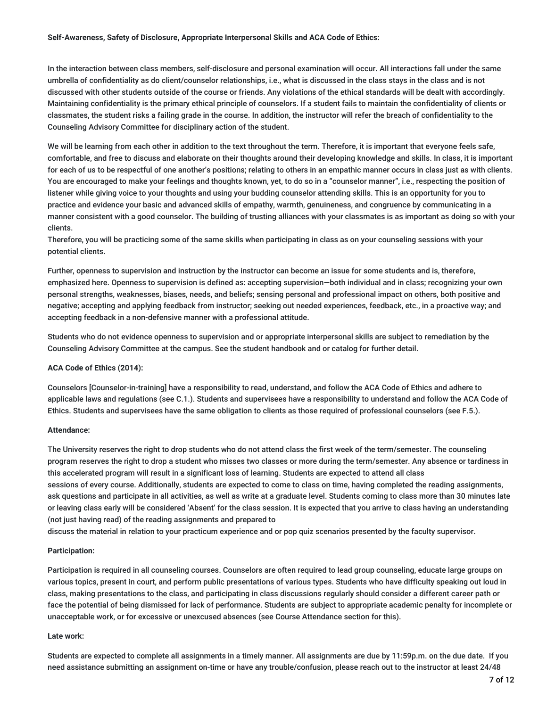#### **Self-Awareness, Safety of Disclosure, Appropriate Interpersonal Skills and ACA Code of Ethics:**

In the interaction between class members, self-disclosure and personal examination will occur. All interactions fall under the same umbrella of confidentiality as do client/counselor relationships, i.e., what is discussed in the class stays in the class and is not discussed with other students outside of the course or friends. Any violations of the ethical standards will be dealt with accordingly. Maintaining confidentiality is the primary ethical principle of counselors. If a student fails to maintain the confidentiality of clients or classmates, the student risks a failing grade in the course. In addition, the instructor will refer the breach of confidentiality to the Counseling Advisory Committee for disciplinary action of the student.

We will be learning from each other in addition to the text throughout the term. Therefore, it is important that everyone feels safe, comfortable, and free to discuss and elaborate on their thoughts around their developing knowledge and skills. In class, it is important for each of us to be respectful of one another's positions; relating to others in an empathic manner occurs in class just as with clients. You are encouraged to make your feelings and thoughts known, yet, to do so in a "counselor manner", i.e., respecting the position of listener while giving voice to your thoughts and using your budding counselor attending skills. This is an opportunity for you to practice and evidence your basic and advanced skills of empathy, warmth, genuineness, and congruence by communicating in a manner consistent with a good counselor. The building of trusting alliances with your classmates is as important as doing so with your clients.

Therefore, you will be practicing some of the same skills when participating in class as on your counseling sessions with your potential clients.

Further, openness to supervision and instruction by the instructor can become an issue for some students and is, therefore, emphasized here. Openness to supervision is defined as: accepting supervision—both individual and in class; recognizing your own personal strengths, weaknesses, biases, needs, and beliefs; sensing personal and professional impact on others, both positive and negative; accepting and applying feedback from instructor; seeking out needed experiences, feedback, etc., in a proactive way; and accepting feedback in a non-defensive manner with a professional attitude.

Students who do not evidence openness to supervision and or appropriate interpersonal skills are subject to remediation by the Counseling Advisory Committee at the campus. See the student handbook and or catalog for further detail.

#### **ACA Code of Ethics (2014):**

Counselors [Counselor-in-training] have a responsibility to read, understand, and follow the ACA Code of Ethics and adhere to applicable laws and regulations (see C.1.). Students and supervisees have a responsibility to understand and follow the ACA Code of Ethics. Students and supervisees have the same obligation to clients as those required of professional counselors (see F.5.).

#### **Attendance:**

The University reserves the right to drop students who do not attend class the first week of the term/semester. The counseling program reserves the right to drop a student who misses two classes or more during the term/semester. Any absence or tardiness in this accelerated program will result in a significant loss of learning. Students are expected to attend all class sessions of every course. Additionally, students are expected to come to class on time, having completed the reading assignments, ask questions and participate in all activities, as well as write at a graduate level. Students coming to class more than 30 minutes late or leaving class early will be considered 'Absent' for the class session. It is expected that you arrive to class having an understanding (not just having read) of the reading assignments and prepared to

discuss the material in relation to your practicum experience and or pop quiz scenarios presented by the faculty supervisor.

#### **Participation:**

Participation is required in all counseling courses. Counselors are often required to lead group counseling, educate large groups on various topics, present in court, and perform public presentations of various types. Students who have difficulty speaking out loud in class, making presentations to the class, and participating in class discussions regularly should consider a different career path or face the potential of being dismissed for lack of performance. Students are subject to appropriate academic penalty for incomplete or unacceptable work, or for excessive or unexcused absences (see Course Attendance section for this).

#### **Late work:**

Students are expected to complete all assignments in a timely manner. All assignments are due by 11:59p.m. on the due date. If you need assistance submitting an assignment on-time or have any trouble/confusion, please reach out to the instructor at least 24/48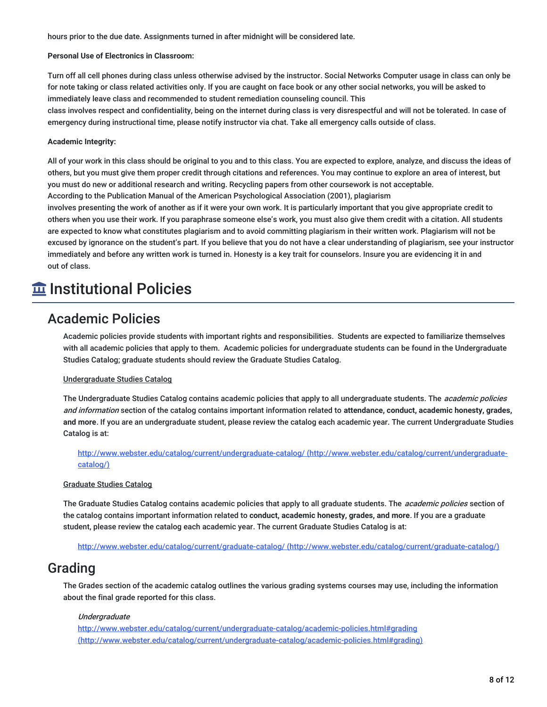hours prior to the due date. Assignments turned in after midnight will be considered late.

#### **Personal Use of Electronics in Classroom:**

Turn off all cell phones during class unless otherwise advised by the instructor. Social Networks Computer usage in class can only be for note taking or class related activities only. If you are caught on face book or any other social networks, you will be asked to immediately leave class and recommended to student remediation counseling council. This

class involves respect and confidentiality, being on the internet during class is very disrespectful and will not be tolerated. In case of emergency during instructional time, please notify instructor via chat. Take all emergency calls outside of class.

#### **Academic Integrity:**

All of your work in this class should be original to you and to this class. You are expected to explore, analyze, and discuss the ideas of others, but you must give them proper credit through citations and references. You may continue to explore an area of interest, but you must do new or additional research and writing. Recycling papers from other coursework is not acceptable.

According to the Publication Manual of the American Psychological Association (2001), plagiarism

involves presenting the work of another as if it were your own work. It is particularly important that you give appropriate credit to others when you use their work. If you paraphrase someone else's work, you must also give them credit with a citation. All students are expected to know what constitutes plagiarism and to avoid committing plagiarism in their written work. Plagiarism will not be excused by ignorance on the student's part. If you believe that you do not have a clear understanding of plagiarism, see your instructor immediately and before any written work is turned in. Honesty is a key trait for counselors. Insure you are evidencing it in and out of class.

## $\widehat{\mathbf{m}}$  Institutional Policies

### Academic Policies

Academic policies provide students with important rights and responsibilities. Students are expected to familiarize themselves with all academic policies that apply to them. Academic policies for undergraduate students can be found in the Undergraduate Studies Catalog; graduate students should review the Graduate Studies Catalog.

#### Undergraduate Studies Catalog

The Undergraduate Studies Catalog contains academic policies that apply to all undergraduate students. The *academic policies* and information section of the catalog contains important information related to **attendance, conduct, academic honesty, grades, and more**. If you are an undergraduate student, please review the catalog each academic year. The current Undergraduate Studies Catalog is at:

<http://www.webster.edu/catalog/current/undergraduate-catalog/> (http://www.webster.edu/catalog/current/undergraduatecatalog/)

#### Graduate Studies Catalog

The Graduate Studies Catalog contains academic policies that apply to all graduate students. The *academic policies* section of the catalog contains important information related to **conduct, academic honesty, grades, and more**. If you are a graduate student, please review the catalog each academic year. The current Graduate Studies Catalog is at:

http://www.webster.edu/catalog/current/graduate-catalog/ [\(http://www.webster.edu/catalog/current/graduate-catalog/\)](http://www.webster.edu/catalog/current/graduate-catalog/)

### Grading

The Grades section of the academic catalog outlines the various grading systems courses may use, including the information about the final grade reported for this class.

#### **Undergraduate**

http://www.webster.edu/catalog/current/undergraduate-catalog/academic-policies.html#grading [\(http://www.webster.edu/catalog/current/undergraduate-catalog/academic-policies.html#grading\)](http://www.webster.edu/catalog/current/undergraduate-catalog/academic-policies.html#grading)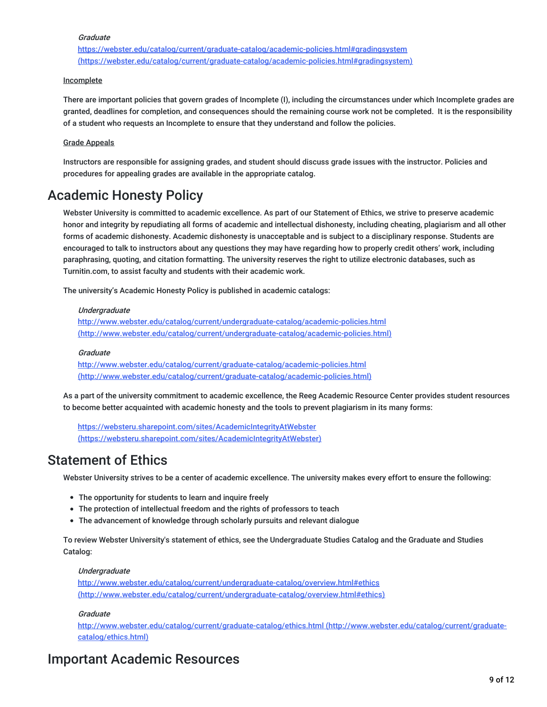#### **Graduate**

<https://webster.edu/catalog/current/graduate-catalog/academic-policies.html#gradingsystem> (https://webster.edu/catalog/current/graduate-catalog/academic-policies.html#gradingsystem)

#### Incomplete

There are important policies that govern grades of Incomplete (I), including the circumstances under which Incomplete grades are granted, deadlines for completion, and consequences should the remaining course work not be completed. It is the responsibility of a student who requests an Incomplete to ensure that they understand and follow the policies.

#### Grade Appeals

Instructors are responsible for assigning grades, and student should discuss grade issues with the instructor. Policies and procedures for appealing grades are available in the appropriate catalog.

### Academic Honesty Policy

Webster University is committed to academic excellence. As part of our Statement of Ethics, we strive to preserve academic honor and integrity by repudiating all forms of academic and intellectual dishonesty, including cheating, plagiarism and all other forms of academic dishonesty. Academic dishonesty is unacceptable and is subject to a disciplinary response. Students are encouraged to talk to instructors about any questions they may have regarding how to properly credit others' work, including paraphrasing, quoting, and citation formatting. The university reserves the right to utilize electronic databases, such as Turnitin.com, to assist faculty and students with their academic work.

The university's Academic Honesty Policy is published in academic catalogs:

#### Undergraduate

http://www.webster.edu/catalog/current/undergraduate-catalog/academic-policies.html [\(http://www.webster.edu/catalog/current/undergraduate-catalog/academic-policies.html\)](http://www.webster.edu/catalog/current/undergraduate-catalog/academic-policies.html)

#### **Graduate**

<http://www.webster.edu/catalog/current/graduate-catalog/academic-policies.html> (http://www.webster.edu/catalog/current/graduate-catalog/academic-policies.html)

As a part of the university commitment to academic excellence, the Reeg Academic Resource Center provides student resources to become better acquainted with academic honesty and the tools to prevent plagiarism in its many forms:

https://websteru.sharepoint.com/sites/AcademicIntegrityAtWebster [\(https://websteru.sharepoint.com/sites/AcademicIntegrityAtWebster\)](https://websteru.sharepoint.com/sites/AcademicIntegrityAtWebster)

### Statement of Ethics

Webster University strives to be a center of academic excellence. The university makes every effort to ensure the following:

- The opportunity for students to learn and inquire freely
- The protection of intellectual freedom and the rights of professors to teach
- The advancement of knowledge through scholarly pursuits and relevant dialogue

To review Webster University's statement of ethics, see the Undergraduate Studies Catalog and the Graduate and Studies Catalog:

#### Undergraduate

<http://www.webster.edu/catalog/current/undergraduate-catalog/overview.html#ethics> (http://www.webster.edu/catalog/current/undergraduate-catalog/overview.html#ethics)

#### **Graduate**

<http://www.webster.edu/catalog/current/graduate-catalog/ethics.html> (http://www.webster.edu/catalog/current/graduatecatalog/ethics.html)

### Important Academic Resources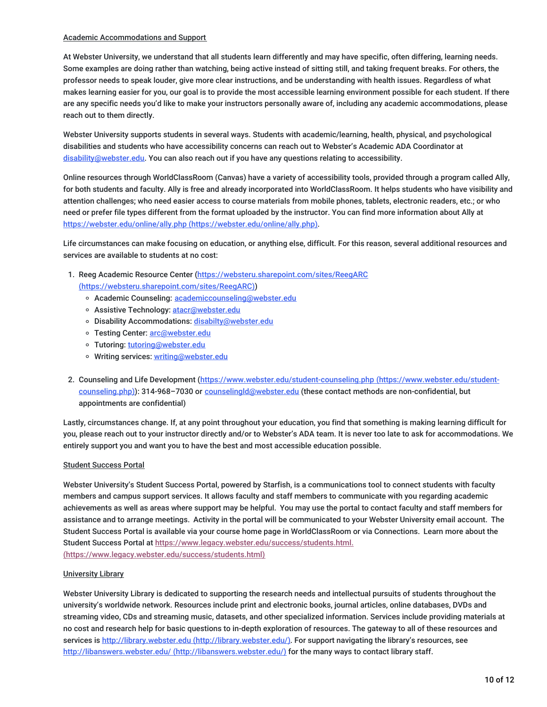#### Academic Accommodations and Support

At Webster University, we understand that all students learn differently and may have specific, often differing, learning needs. Some examples are doing rather than watching, being active instead of sitting still, and taking frequent breaks. For others, the professor needs to speak louder, give more clear instructions, and be understanding with health issues. Regardless of what makes learning easier for you, our goal is to provide the most accessible learning environment possible for each student. If there are any specific needs you'd like to make your instructors personally aware of, including any academic accommodations, please reach out to them directly.

Webster University supports students in several ways. Students with academic/learning, health, physical, and psychological disabilities and students who have accessibility concerns can reach out to Webster's Academic ADA Coordinator at [disability@webster.edu](mailto:disability@webster.edu). You can also reach out if you have any questions relating to accessibility.

Online resources through WorldClassRoom (Canvas) have a variety of accessibility tools, provided through a program called Ally, for both students and faculty. Ally is free and already incorporated into WorldClassRoom. It helps students who have visibility and attention challenges; who need easier access to course materials from mobile phones, tablets, electronic readers, etc.; or who need or prefer file types different from the format uploaded by the instructor. You can find more information about Ally at https://webster.edu/online/ally.php [\(https://webster.edu/online/ally.php\)](https://webster.edu/online/ally.php).

Life circumstances can make focusing on education, or anything else, difficult. For this reason, several additional resources and services are available to students at no cost:

- 1. Reeg Academic Resource Center (https://websteru.sharepoint.com/sites/ReegARC [\(https://websteru.sharepoint.com/sites/ReegARC\)\)](https://websteru.sharepoint.com/sites/ReegARC)
	- o Academic Counseling: [academiccounseling@webster.edu](mailto:academiccounseling@webster.edu)
	- o Assistive Technology: [atacr@webster.edu](mailto:atacr@webster.edu)
	- o Disability Accommodations: [disabilty@webster.edu](mailto:disabilty@webster.edu)
	- o Testing Center: [arc@webster.edu](mailto:arc@webster.edu)
	- Tutoring: [tutoring@webster.edu](mailto:tutoring@webster.edu)
	- Writing services: [writing@webster.edu](mailto:writing@webster.edu)
- 2. Counseling and Life Development [\(https://www.webster.edu/student-counseling.php](https://www.webster.edu/student-counseling.php) (https://www.webster.edu/studentcounseling.php)): 314-968-7030 or counselingId@webster.edu (these contact methods are non-confidential, but appointments are confidential)

Lastly, circumstances change. If, at any point throughout your education, you find that something is making learning difficult for you, please reach out to your instructor directly and/or to Webster's ADA team. It is never too late to ask for accommodations. We entirely support you and want you to have the best and most accessible education possible.

#### Student Success Portal

Webster University's Student Success Portal, powered by Starfish, is a communications tool to connect students with faculty members and campus support services. It allows faculty and staff members to communicate with you regarding academic achievements as well as areas where support may be helpful. You may use the portal to contact faculty and staff members for assistance and to arrange meetings. Activity in the portal will be communicated to your Webster University email account. The Student Success Portal is available via your course home page in WorldClassRoom or via Connections. Learn more about the Student Success Portal at [https://www.legacy.webster.edu/success/students.html.](https://www.legacy.webster.edu/success/students.html) (https://www.legacy.webster.edu/success/students.html)

#### University Library

Webster University Library is dedicated to supporting the research needs and intellectual pursuits of students throughout the university's worldwide network. Resources include print and electronic books, journal articles, online databases, DVDs and streaming video, CDs and streaming music, datasets, and other specialized information. Services include providing materials at no cost and research help for basic questions to in-depth exploration of resources. The gateway to all of these resources and services is http://library.webster.edu [\(http://library.webster.edu/\)](http://library.webster.edu/). For support navigating the library's resources, see http://libanswers.webster.edu/ [\(http://libanswers.webster.edu/\)](http://libanswers.webster.edu/) for the many ways to contact library staff.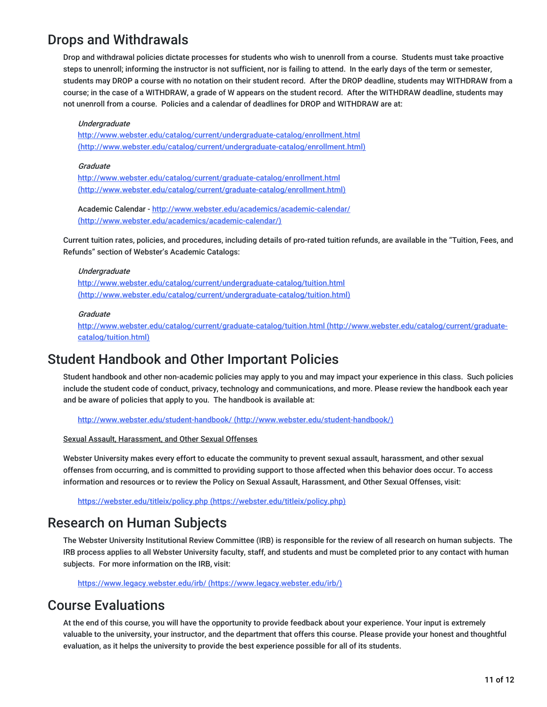## Drops and Withdrawals

Drop and withdrawal policies dictate processes for students who wish to unenroll from a course. Students must take proactive steps to unenroll; informing the instructor is not sufficient, nor is failing to attend. In the early days of the term or semester, students may DROP a course with no notation on their student record. After the DROP deadline, students may WITHDRAW from a course; in the case of a WITHDRAW, a grade of W appears on the student record. After the WITHDRAW deadline, students may not unenroll from a course. Policies and a calendar of deadlines for DROP and WITHDRAW are at:

#### Undergraduate

http://www.webster.edu/catalog/current/undergraduate-catalog/enrollment.html [\(http://www.webster.edu/catalog/current/undergraduate-catalog/enrollment.html\)](http://www.webster.edu/catalog/current/undergraduate-catalog/enrollment.html)

#### Graduate

http://www.webster.edu/catalog/current/graduate-catalog/enrollment.html [\(http://www.webster.edu/catalog/current/graduate-catalog/enrollment.html\)](http://www.webster.edu/catalog/current/graduate-catalog/enrollment.html)

Academic Calendar - <http://www.webster.edu/academics/academic-calendar/> (http://www.webster.edu/academics/academic-calendar/)

Current tuition rates, policies, and procedures, including details of pro-rated tuition refunds, are available in the "Tuition, Fees, and Refunds" section of Webster's Academic Catalogs:

#### Undergraduate

<http://www.webster.edu/catalog/current/undergraduate-catalog/tuition.html> (http://www.webster.edu/catalog/current/undergraduate-catalog/tuition.html)

#### **Graduate**

<http://www.webster.edu/catalog/current/graduate-catalog/tuition.html> (http://www.webster.edu/catalog/current/graduatecatalog/tuition.html)

### Student Handbook and Other Important Policies

Student handbook and other non-academic policies may apply to you and may impact your experience in this class. Such policies include the student code of conduct, privacy, technology and communications, and more. Please review the handbook each year and be aware of policies that apply to you. The handbook is available at:

http://www.webster.edu/student-handbook/ [\(http://www.webster.edu/student-handbook/\)](http://www.webster.edu/student-handbook/)

Sexual Assault, Harassment, and Other Sexual Offenses

Webster University makes every effort to educate the community to prevent sexual assault, harassment, and other sexual offenses from occurring, and is committed to providing support to those affected when this behavior does occur. To access information and resources or to review the Policy on Sexual Assault, Harassment, and Other Sexual Offenses, visit:

https://webster.edu/titleix/policy.php [\(https://webster.edu/titleix/policy.php\)](https://webster.edu/titleix/policy.php)

## Research on Human Subjects

The Webster University Institutional Review Committee (IRB) is responsible for the review of all research on human subjects. The IRB process applies to all Webster University faculty, staff, and students and must be completed prior to any contact with human subjects. For more information on the IRB, visit:

https://www.legacy.webster.edu/irb/ [\(https://www.legacy.webster.edu/irb/\)](https://www.legacy.webster.edu/irb/)

### Course Evaluations

At the end of this course, you will have the opportunity to provide feedback about your experience. Your input is extremely valuable to the university, your instructor, and the department that offers this course. Please provide your honest and thoughtful evaluation, as it helps the university to provide the best experience possible for all of its students.